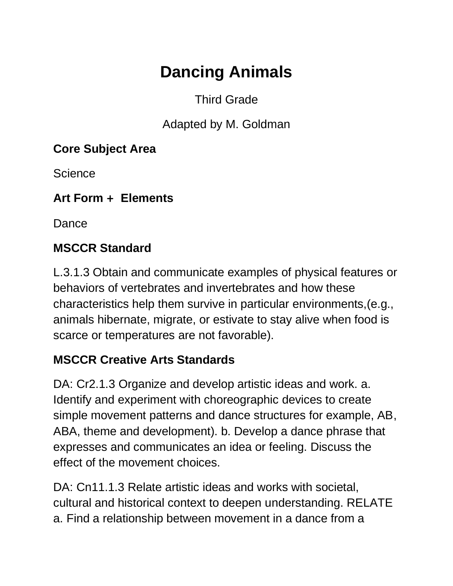# **Dancing Animals**

### Third Grade

Adapted by M. Goldman

#### **Core Subject Area**

**Science** 

**Art Form + Elements**

Dance

### **MSCCR Standard**

L.3.1.3 Obtain and communicate examples of physical features or behaviors of vertebrates and invertebrates and how these characteristics help them survive in particular environments,(e.g., animals hibernate, migrate, or estivate to stay alive when food is scarce or temperatures are not favorable).

#### **MSCCR Creative Arts Standards**

DA: Cr2.1.3 Organize and develop artistic ideas and work. a. Identify and experiment with choreographic devices to create simple movement patterns and dance structures for example, AB, ABA, theme and development). b. Develop a dance phrase that expresses and communicates an idea or feeling. Discuss the effect of the movement choices.

DA: Cn11.1.3 Relate artistic ideas and works with societal, cultural and historical context to deepen understanding. RELATE a. Find a relationship between movement in a dance from a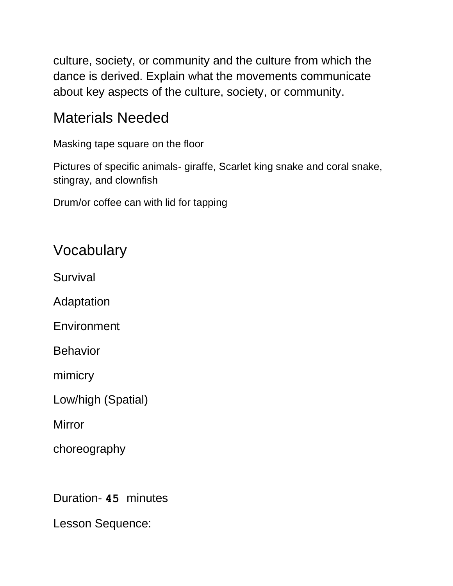culture, society, or community and the culture from which the dance is derived. Explain what the movements communicate about key aspects of the culture, society, or community.

## Materials Needed

Masking tape square on the floor

Pictures of specific animals- giraffe, Scarlet king snake and coral snake, stingray, and clownfish

Drum/or coffee can with lid for tapping

## Vocabulary

Survival

Adaptation

**Environment** 

**Behavior** 

mimicry

Low/high (Spatial)

Mirror

choreography

Duration- **45** minutes

Lesson Sequence: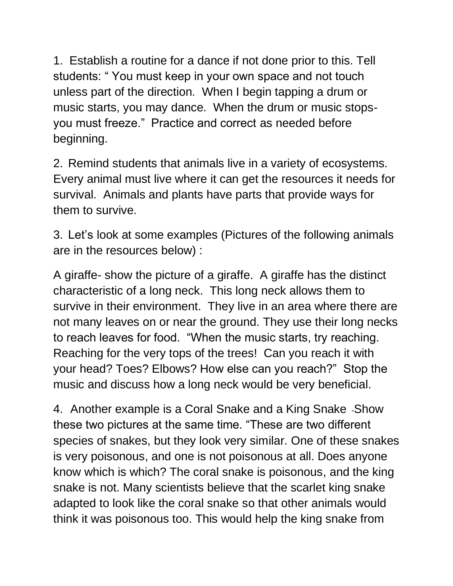1. Establish a routine for a dance if not done prior to this. Tell students: " You must keep in your own space and not touch unless part of the direction. When I begin tapping a drum or music starts, you may dance. When the drum or music stopsyou must freeze." Practice and correct as needed before beginning.

2. Remind students that animals live in a variety of ecosystems. Every animal must live where it can get the resources it needs for survival. Animals and plants have parts that provide ways for them to survive.

3. Let's look at some examples (Pictures of the following animals are in the resources below) :

A giraffe- show the picture of a giraffe. A giraffe has the distinct characteristic of a long neck. This long neck allows them to survive in their environment. They live in an area where there are not many leaves on or near the ground. They use their long necks to reach leaves for food. "When the music starts, try reaching. Reaching for the very tops of the trees! Can you reach it with your head? Toes? Elbows? How else can you reach?" Stop the music and discuss how a long neck would be very beneficial.

4. Another example is a Coral Snake and a King Snake -Show these two pictures at the same time. "These are two different species of snakes, but they look very similar. One of these snakes is very poisonous, and one is not poisonous at all. Does anyone know which is which? The coral snake is poisonous, and the king snake is not. Many scientists believe that the scarlet king snake adapted to look like the coral snake so that other animals would think it was poisonous too. This would help the king snake from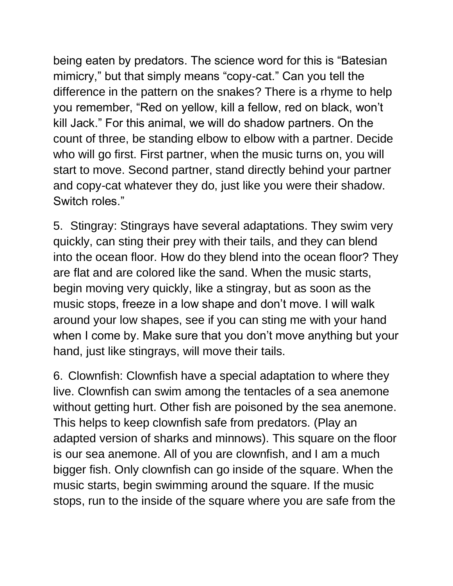being eaten by predators. The science word for this is "Batesian mimicry," but that simply means "copy-cat." Can you tell the difference in the pattern on the snakes? There is a rhyme to help you remember, "Red on yellow, kill a fellow, red on black, won't kill Jack." For this animal, we will do shadow partners. On the count of three, be standing elbow to elbow with a partner. Decide who will go first. First partner, when the music turns on, you will start to move. Second partner, stand directly behind your partner and copy-cat whatever they do, just like you were their shadow. Switch roles."

5. Stingray: Stingrays have several adaptations. They swim very quickly, can sting their prey with their tails, and they can blend into the ocean floor. How do they blend into the ocean floor? They are flat and are colored like the sand. When the music starts, begin moving very quickly, like a stingray, but as soon as the music stops, freeze in a low shape and don't move. I will walk around your low shapes, see if you can sting me with your hand when I come by. Make sure that you don't move anything but your hand, just like stingrays, will move their tails.

6. Clownfish: Clownfish have a special adaptation to where they live. Clownfish can swim among the tentacles of a sea anemone without getting hurt. Other fish are poisoned by the sea anemone. This helps to keep clownfish safe from predators. (Play an adapted version of sharks and minnows). This square on the floor is our sea anemone. All of you are clownfish, and I am a much bigger fish. Only clownfish can go inside of the square. When the music starts, begin swimming around the square. If the music stops, run to the inside of the square where you are safe from the